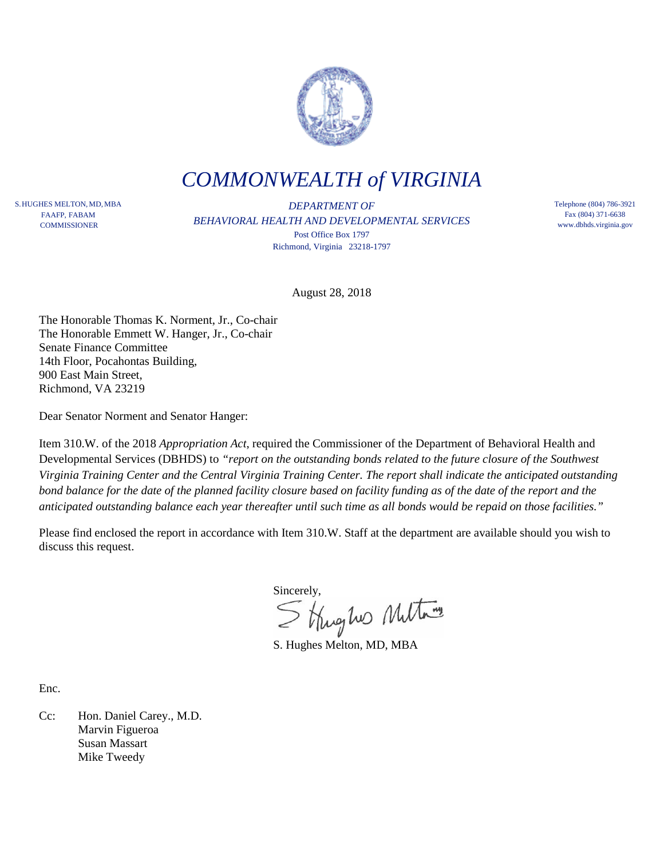

*COMMONWEALTH of VIRGINIA*

S.HUGHES MELTON,MD,MBA FAAFP, FABAM **COMMISSIONER** 

*DEPARTMENT OF BEHAVIORAL HEALTH AND DEVELOPMENTAL SERVICES* Post Office Box 1797 Richmond, Virginia 23218-1797

Telephone (804) 786-3921 Fax (804) 371-6638 www.dbhds.virginia.gov

August 28, 2018

The Honorable Thomas K. Norment, Jr., Co-chair The Honorable Emmett W. Hanger, Jr., Co-chair Senate Finance Committee 14th Floor, Pocahontas Building, 900 East Main Street, Richmond, VA 23219

Dear Senator Norment and Senator Hanger:

Item 310.W. of the 2018 *Appropriation Act*, required the Commissioner of the Department of Behavioral Health and Developmental Services (DBHDS) to *"report on the outstanding bonds related to the future closure of the Southwest Virginia Training Center and the Central Virginia Training Center. The report shall indicate the anticipated outstanding bond balance for the date of the planned facility closure based on facility funding as of the date of the report and the anticipated outstanding balance each year thereafter until such time as all bonds would be repaid on those facilities."*

Please find enclosed the report in accordance with Item 310.W. Staff at the department are available should you wish to discuss this request.

Sincerely,<br>Strughes Multary

S. Hughes Melton, MD, MBA

Enc.

Cc: Hon. Daniel Carey., M.D. Marvin Figueroa Susan Massart Mike Tweedy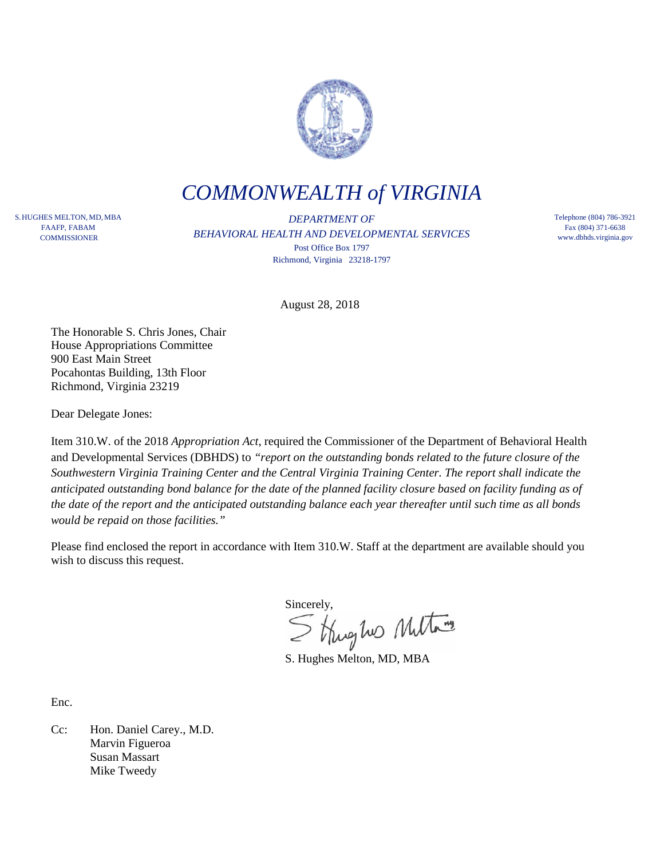

## *COMMONWEALTH of VIRGINIA*

S.HUGHES MELTON,MD,MBA FAAFP, FABAM **COMMISSIONER** 

*DEPARTMENT OF BEHAVIORAL HEALTH AND DEVELOPMENTAL SERVICES* Post Office Box 1797 Richmond, Virginia 23218-1797

Telephone (804) 786-3921 Fax (804) 371-6638 www.dbhds.virginia.gov

August 28, 2018

The Honorable S. Chris Jones, Chair House Appropriations Committee 900 East Main Street Pocahontas Building, 13th Floor Richmond, Virginia 23219

Dear Delegate Jones:

Item 310.W. of the 2018 *Appropriation Act*, required the Commissioner of the Department of Behavioral Health and Developmental Services (DBHDS) to *"report on the outstanding bonds related to the future closure of the Southwestern Virginia Training Center and the Central Virginia Training Center. The report shall indicate the anticipated outstanding bond balance for the date of the planned facility closure based on facility funding as of the date of the report and the anticipated outstanding balance each year thereafter until such time as all bonds would be repaid on those facilities."*

Please find enclosed the report in accordance with Item 310.W. Staff at the department are available should you wish to discuss this request.

Sincerely,<br>Strughes Multary

S. Hughes Melton, MD, MBA

Enc.

Cc: Hon. Daniel Carey., M.D. Marvin Figueroa Susan Massart Mike Tweedy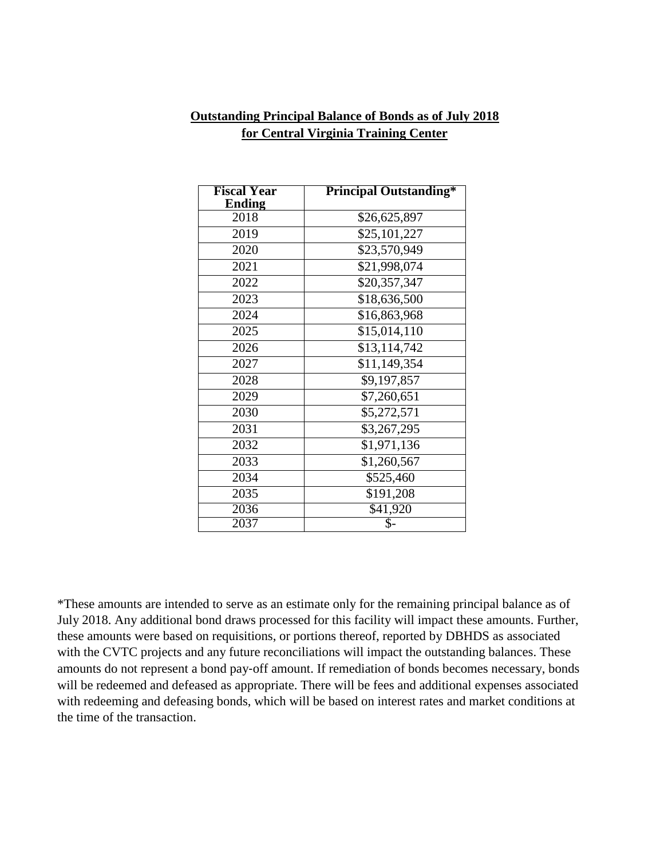## **Outstanding Principal Balance of Bonds as of July 2018 for Central Virginia Training Center**

| <b>Fiscal Year</b><br>Ending | <b>Principal Outstanding*</b> |
|------------------------------|-------------------------------|
| 2018                         | \$26,625,897                  |
| 2019                         | \$25,101,227                  |
| 2020                         | \$23,570,949                  |
| 2021                         | \$21,998,074                  |
| 2022                         | \$20,357,347                  |
| 2023                         | \$18,636,500                  |
| 2024                         | \$16,863,968                  |
| 2025                         | \$15,014,110                  |
| 2026                         | \$13,114,742                  |
| 2027                         | \$11,149,354                  |
| 2028                         | \$9,197,857                   |
| 2029                         | \$7,260,651                   |
| 2030                         | \$5,272,571                   |
| 2031                         | \$3,267,295                   |
| 2032                         | \$1,971,136                   |
| 2033                         | \$1,260,567                   |
| 2034                         | \$525,460                     |
| 2035                         | \$191,208                     |
| $\overline{20}36$            | $\overline{541}$ ,920         |
| 2037                         | \$-                           |

\*These amounts are intended to serve as an estimate only for the remaining principal balance as of July 2018. Any additional bond draws processed for this facility will impact these amounts. Further, these amounts were based on requisitions, or portions thereof, reported by DBHDS as associated with the CVTC projects and any future reconciliations will impact the outstanding balances. These amounts do not represent a bond pay‐off amount. If remediation of bonds becomes necessary, bonds will be redeemed and defeased as appropriate. There will be fees and additional expenses associated with redeeming and defeasing bonds, which will be based on interest rates and market conditions at the time of the transaction.